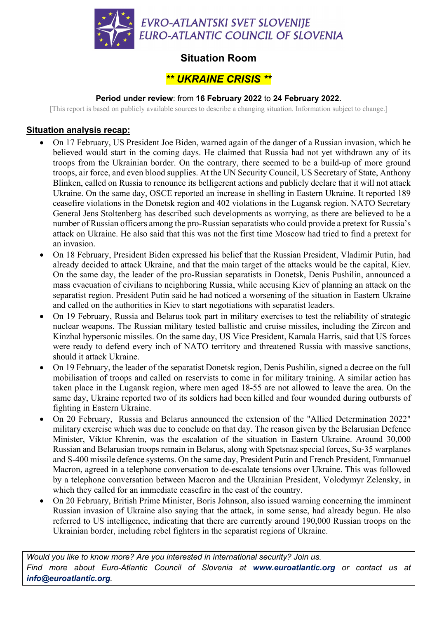

## **Situation Room**

# *\*\* UKRAINE CRISIS \*\**

#### **Period under review**: from **16 February 2022** to **24 February 2022.**

[This report is based on publicly available sources to describe a changing situation. Information subject to change.]

### **Situation analysis recap:**

- On 17 February, US President Joe Biden, warned again of the danger of a Russian invasion, which he believed would start in the coming days. He claimed that Russia had not yet withdrawn any of its troops from the Ukrainian border. On the contrary, there seemed to be a build-up of more ground troops, air force, and even blood supplies. At the UN Security Council, US Secretary of State, Anthony Blinken, called on Russia to renounce its belligerent actions and publicly declare that it will not attack Ukraine. On the same day, OSCE reported an increase in shelling in Eastern Ukraine. It reported 189 ceasefire violations in the Donetsk region and 402 violations in the Lugansk region. NATO Secretary General Jens Stoltenberg has described such developments as worrying, as there are believed to be a number of Russian officers among the pro-Russian separatists who could provide a pretext for Russia's attack on Ukraine. He also said that this was not the first time Moscow had tried to find a pretext for an invasion.
- On 18 February, President Biden expressed his belief that the Russian President, Vladimir Putin, had already decided to attack Ukraine, and that the main target of the attacks would be the capital, Kiev. On the same day, the leader of the pro-Russian separatists in Donetsk, Denis Pushilin, announced a mass evacuation of civilians to neighboring Russia, while accusing Kiev of planning an attack on the separatist region. President Putin said he had noticed a worsening of the situation in Eastern Ukraine and called on the authorities in Kiev to start negotiations with separatist leaders.
- On 19 February, Russia and Belarus took part in military exercises to test the reliability of strategic nuclear weapons. The Russian military tested ballistic and cruise missiles, including the Zircon and Kinzhal hypersonic missiles. On the same day, US Vice President, Kamala Harris, said that US forces were ready to defend every inch of NATO territory and threatened Russia with massive sanctions, should it attack Ukraine.
- On 19 February, the leader of the separatist Donetsk region, Denis Pushilin, signed a decree on the full mobilisation of troops and called on reservists to come in for military training. A similar action has taken place in the Lugansk region, where men aged 18-55 are not allowed to leave the area. On the same day, Ukraine reported two of its soldiers had been killed and four wounded during outbursts of fighting in Eastern Ukraine.
- On 20 February, Russia and Belarus announced the extension of the "Allied Determination 2022" military exercise which was due to conclude on that day. The reason given by the Belarusian Defence Minister, Viktor Khrenin, was the escalation of the situation in Eastern Ukraine. Around 30,000 Russian and Belarusian troops remain in Belarus, along with Spetsnaz special forces, Su-35 warplanes and S-400 missile defence systems. On the same day, President Putin and French President, Emmanuel Macron, agreed in a telephone conversation to de-escalate tensions over Ukraine. This was followed by a telephone conversation between Macron and the Ukrainian President, Volodymyr Zelensky, in which they called for an immediate ceasefire in the east of the country.
- On 20 February, British Prime Minister, Boris Johnson, also issued warning concerning the imminent Russian invasion of Ukraine also saying that the attack, in some sense, had already begun. He also referred to US intelligence, indicating that there are currently around 190,000 Russian troops on the Ukrainian border, including rebel fighters in the separatist regions of Ukraine.

*Would you like to know more? Are you interested in international security? Join us. Find more about Euro-Atlantic Council of Slovenia at www.euroatlantic.org or contact us at info@euroatlantic.org.*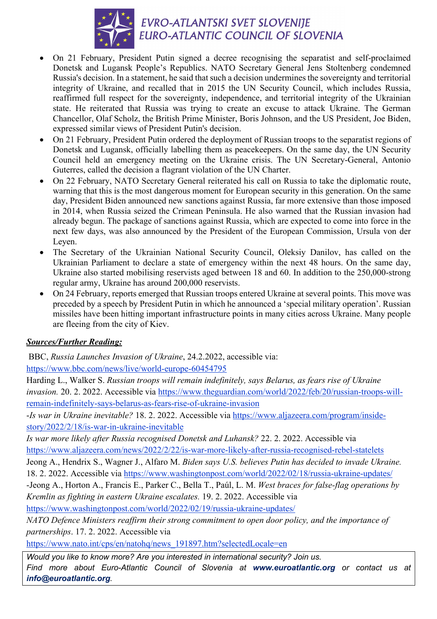

- On 21 February, President Putin signed a decree recognising the separatist and self-proclaimed Donetsk and Lugansk People's Republics. NATO Secretary General Jens Stoltenberg condemned Russia's decision. In a statement, he said that such a decision undermines the sovereignty and territorial integrity of Ukraine, and recalled that in 2015 the UN Security Council, which includes Russia, reaffirmed full respect for the sovereignty, independence, and territorial integrity of the Ukrainian state. He reiterated that Russia was trying to create an excuse to attack Ukraine. The German Chancellor, Olaf Scholz, the British Prime Minister, Boris Johnson, and the US President, Joe Biden, expressed similar views of President Putin's decision.
- On 21 February, President Putin ordered the deployment of Russian troops to the separatist regions of Donetsk and Lugansk, officially labelling them as peacekeepers. On the same day, the UN Security Council held an emergency meeting on the Ukraine crisis. The UN Secretary-General, Antonio Guterres, called the decision a flagrant violation of the UN Charter.
- On 22 February, NATO Secretary General reiterated his call on Russia to take the diplomatic route, warning that this is the most dangerous moment for European security in this generation. On the same day, President Biden announced new sanctions against Russia, far more extensive than those imposed in 2014, when Russia seized the Crimean Peninsula. He also warned that the Russian invasion had already begun. The package of sanctions against Russia, which are expected to come into force in the next few days, was also announced by the President of the European Commission, Ursula von der Leyen.
- The Secretary of the Ukrainian National Security Council, Oleksiy Danilov, has called on the Ukrainian Parliament to declare a state of emergency within the next 48 hours. On the same day, Ukraine also started mobilising reservists aged between 18 and 60. In addition to the 250,000-strong regular army, Ukraine has around 200,000 reservists.
- On 24 February, reports emerged that Russian troops entered Ukraine at several points. This move was preceded by a speech by President Putin in which he announced a 'special military operation'. Russian missiles have been hitting important infrastructure points in many cities across Ukraine. Many people are fleeing from the city of Kiev.

## *Sources/Further Reading:*

BBC, *Russia Launches Invasion of Ukraine*, 24.2.2022, accessible via:

https://www.bbc.com/news/live/world-europe-60454795

Harding L., Walker S. *Russian troops will remain indefinitely, says Belarus, as fears rise of Ukraine invasion.* 20. 2. 2022. Accessible via https://www.theguardian.com/world/2022/feb/20/russian-troops-willremain-indefinitely-says-belarus-as-fears-rise-of-ukraine-invasion

-*Is war in Ukraine inevitable?* 18. 2. 2022. Accessible via https://www.aljazeera.com/program/insidestory/2022/2/18/is-war-in-ukraine-inevitable

*Is war more likely after Russia recognised Donetsk and Luhansk?* 22. 2. 2022. Accessible via https://www.aljazeera.com/news/2022/2/22/is-war-more-likely-after-russia-recognised-rebel-statelets

Jeong A., Hendrix S., Wagner J., Alfaro M. *Biden says U.S. believes Putin has decided to invade Ukraine.*  18. 2. 2022. Accessible via https://www.washingtonpost.com/world/2022/02/18/russia-ukraine-updates/

-Jeong A., Horton A., Francis E., Parker C., Bella T., Paúl, L. M. *West braces for false-flag operations by Kremlin as fighting in eastern Ukraine escalates.* 19. 2. 2022. Accessible via

https://www.washingtonpost.com/world/2022/02/19/russia-ukraine-updates/

*NATO Defence Ministers reaffirm their strong commitment to open door policy, and the importance of partnerships*. 17. 2. 2022. Accessible via

https://www.nato.int/cps/en/natohq/news\_191897.htm?selectedLocale=en

*Would you like to know more? Are you interested in international security? Join us. Find more about Euro-Atlantic Council of Slovenia at www.euroatlantic.org or contact us at info@euroatlantic.org.*